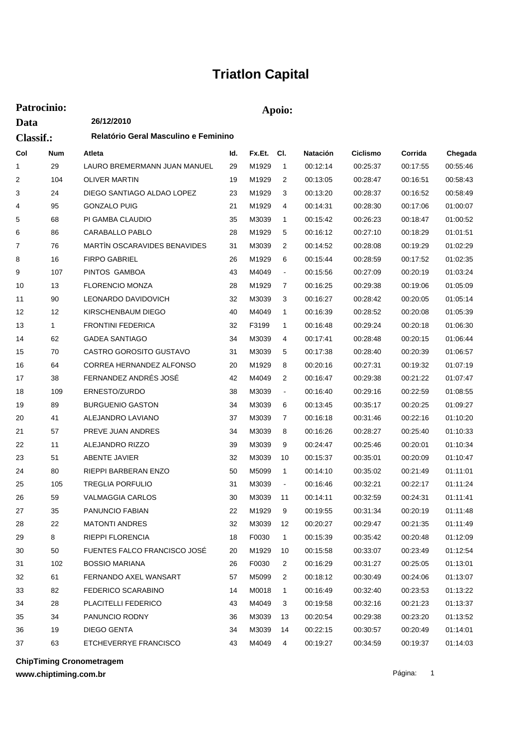## **Triatlon Capital**

| Patrocinio:              |            |                                      |     | Apoio: |                |                 |          |          |          |  |  |
|--------------------------|------------|--------------------------------------|-----|--------|----------------|-----------------|----------|----------|----------|--|--|
| Data<br><b>Classif.:</b> |            | 26/12/2010                           |     |        |                |                 |          |          |          |  |  |
|                          |            | Relatório Geral Masculino e Feminino |     |        |                |                 |          |          |          |  |  |
| Col                      | <b>Num</b> | Atleta                               | ld. | Fx.Et. | CI.            | <b>Natación</b> | Ciclismo | Corrida  | Chegada  |  |  |
| 1                        | 29         | LAURO BREMERMANN JUAN MANUEL         | 29  | M1929  | $\mathbf{1}$   | 00:12:14        | 00:25:37 | 00:17:55 | 00:55:46 |  |  |
| 2                        | 104        | <b>OLIVER MARTIN</b>                 | 19  | M1929  | 2              | 00:13:05        | 00:28:47 | 00:16:51 | 00:58:43 |  |  |
| 3                        | 24         | DIEGO SANTIAGO ALDAO LOPEZ           | 23  | M1929  | 3              | 00:13:20        | 00:28:37 | 00:16:52 | 00:58:49 |  |  |
| 4                        | 95         | <b>GONZALO PUIG</b>                  | 21  | M1929  | 4              | 00:14:31        | 00:28:30 | 00:17:06 | 01:00:07 |  |  |
| 5                        | 68         | PI GAMBA CLAUDIO                     | 35  | M3039  | 1              | 00:15:42        | 00:26:23 | 00:18:47 | 01:00:52 |  |  |
| 6                        | 86         | CARABALLO PABLO                      | 28  | M1929  | 5              | 00:16:12        | 00:27:10 | 00:18:29 | 01:01:51 |  |  |
| 7                        | 76         | <b>MARTIN OSCARAVIDES BENAVIDES</b>  | 31  | M3039  | 2              | 00:14:52        | 00:28:08 | 00:19:29 | 01:02:29 |  |  |
| 8                        | 16         | <b>FIRPO GABRIEL</b>                 | 26  | M1929  | 6              | 00:15:44        | 00:28:59 | 00:17:52 | 01:02:35 |  |  |
| 9                        | 107        | PINTOS GAMBOA                        | 43  | M4049  | $\blacksquare$ | 00:15:56        | 00:27:09 | 00:20:19 | 01:03:24 |  |  |
| 10                       | 13         | <b>FLORENCIO MONZA</b>               | 28  | M1929  | 7              | 00:16:25        | 00:29:38 | 00:19:06 | 01:05:09 |  |  |
| 11                       | 90         | <b>LEONARDO DAVIDOVICH</b>           | 32  | M3039  | 3              | 00:16:27        | 00:28:42 | 00:20:05 | 01:05:14 |  |  |
| 12                       | 12         | KIRSCHENBAUM DIEGO                   | 40  | M4049  | 1              | 00:16:39        | 00:28:52 | 00:20:08 | 01:05:39 |  |  |
| 13                       | 1          | <b>FRONTINI FEDERICA</b>             | 32  | F3199  | 1              | 00:16:48        | 00:29:24 | 00:20:18 | 01:06:30 |  |  |
| 14                       | 62         | <b>GADEA SANTIAGO</b>                | 34  | M3039  | 4              | 00:17:41        | 00:28:48 | 00:20:15 | 01:06:44 |  |  |
| 15                       | 70         | CASTRO GOROSITO GUSTAVO              | 31  | M3039  | 5              | 00:17:38        | 00:28:40 | 00:20:39 | 01:06:57 |  |  |
| 16                       | 64         | CORREA HERNANDEZ ALFONSO             | 20  | M1929  | 8              | 00:20:16        | 00:27:31 | 00:19:32 | 01:07:19 |  |  |
| 17                       | 38         | FERNANDEZ ANDRÉS JOSÉ                | 42  | M4049  | 2              | 00:16:47        | 00:29:38 | 00:21:22 | 01:07:47 |  |  |
| 18                       | 109        | ERNESTO/ZURDO                        | 38  | M3039  | $\blacksquare$ | 00:16:40        | 00:29:16 | 00:22:59 | 01:08:55 |  |  |
| 19                       | 89         | <b>BURGUENIO GASTON</b>              | 34  | M3039  | 6              | 00:13:45        | 00:35:17 | 00:20:25 | 01:09:27 |  |  |
| 20                       | 41         | ALEJANDRO LAVIANO                    | 37  | M3039  | 7              | 00:16:18        | 00:31:46 | 00:22:16 | 01:10:20 |  |  |
| 21                       | 57         | PREVE JUAN ANDRES                    | 34  | M3039  | 8              | 00:16:26        | 00:28:27 | 00:25:40 | 01:10:33 |  |  |
| 22                       | 11         | ALEJANDRO RIZZO                      | 39  | M3039  | 9              | 00:24:47        | 00:25:46 | 00:20:01 | 01:10:34 |  |  |
| 23                       | 51         | ABENTE JAVIER                        | 32  | M3039  | 10             | 00:15:37        | 00:35:01 | 00:20:09 | 01:10:47 |  |  |
| 24                       | 80         | RIEPPI BARBERAN ENZO                 | 50  | M5099  | $\mathbf{1}$   | 00:14:10        | 00:35:02 | 00:21:49 | 01:11:01 |  |  |
| 25                       | 105        | <b>TREGLIA PORFULIO</b>              | 31  | M3039  |                | 00:16:46        | 00:32:21 | 00:22:17 | 01:11:24 |  |  |
| 26                       | 59         | VALMAGGIA CARLOS                     | 30  | M3039  | 11             | 00:14:11        | 00:32:59 | 00:24:31 | 01:11:41 |  |  |
| 27                       | 35         | PANUNCIO FABIAN                      | 22  | M1929  | 9              | 00:19:55        | 00:31:34 | 00:20:19 | 01:11:48 |  |  |
| 28                       | 22         | <b>MATONTI ANDRES</b>                | 32  | M3039  | 12             | 00:20:27        | 00:29:47 | 00:21:35 | 01:11:49 |  |  |
| 29                       | 8          | RIEPPI FLORENCIA                     | 18  | F0030  | $\mathbf{1}$   | 00:15:39        | 00:35:42 | 00:20:48 | 01:12:09 |  |  |
| 30                       | 50         | FUENTES FALCO FRANCISCO JOSÉ         | 20  | M1929  | 10             | 00:15:58        | 00:33:07 | 00:23:49 | 01:12:54 |  |  |
| 31                       | 102        | <b>BOSSIO MARIANA</b>                | 26  | F0030  | 2              | 00:16:29        | 00:31:27 | 00:25:05 | 01:13:01 |  |  |
| 32                       | 61         | FERNANDO AXEL WANSART                | 57  | M5099  | 2              | 00:18:12        | 00:30:49 | 00:24:06 | 01:13:07 |  |  |
| 33                       | 82         | FEDERICO SCARABINO                   | 14  | M0018  | $\mathbf{1}$   | 00:16:49        | 00:32:40 | 00:23:53 | 01:13:22 |  |  |
| 34                       | 28         | PLACITELLI FEDERICO                  | 43  | M4049  | 3              | 00:19:58        | 00:32:16 | 00:21:23 | 01:13:37 |  |  |
| 35                       | 34         | PANUNCIO RODNY                       | 36  | M3039  | 13             | 00:20:54        | 00:29:38 | 00:23:20 | 01:13:52 |  |  |
| 36                       | 19         | DIEGO GENTA                          | 34  | M3039  | 14             | 00:22:15        | 00:30:57 | 00:20:49 | 01:14:01 |  |  |
| 37                       | 63         | ETCHEVERRYE FRANCISCO                | 43  | M4049  | 4              | 00:19:27        | 00:34:59 | 00:19:37 | 01:14:03 |  |  |

**ChipTiming Cronometragem**

**www.chiptiming.com.br**

Página: 1